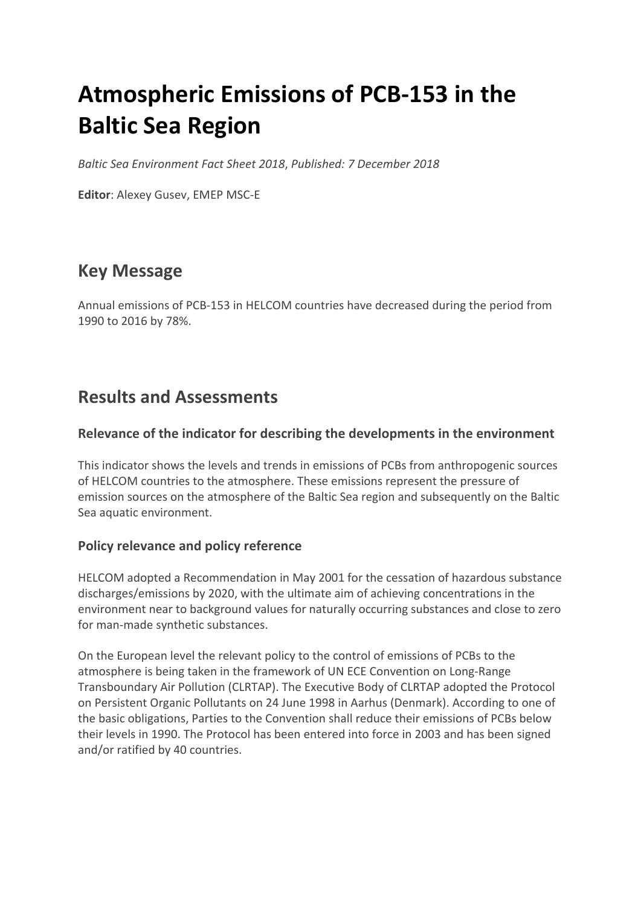# **Atmospheric Emissions of PCB-153 in the Baltic Sea Region**

*Baltic Sea Environment Fact Sheet 2018*, *Published: 7 December 2018*

**Editor**: Alexey Gusev, EMEP MSC-E

# **Key Message**

Annual emissions of PCB-153 in HELCOM countries have decreased during the period from 1990 to 2016 by 78%.

# **Results and Assessments**

## **Relevance of the indicator for describing the developments in the environment**

This indicator shows the levels and trends in emissions of PCBs from anthropogenic sources of HELCOM countries to the atmosphere. These emissions represent the pressure of emission sources on the atmosphere of the Baltic Sea region and subsequently on the Baltic Sea aquatic environment.

# **Policy relevance and policy reference**

HELCOM adopted a Recommendation in May 2001 for the cessation of hazardous substance discharges/emissions by 2020, with the ultimate aim of achieving concentrations in the environment near to background values for naturally occurring substances and close to zero for man-made synthetic substances.

On the European level the relevant policy to the control of emissions of PCBs to the atmosphere is being taken in the framework of UN ECE Convention on Long-Range Transboundary Air Pollution (CLRTAP). The Executive Body of CLRTAP adopted the Protocol on Persistent Organic Pollutants on 24 June 1998 in Aarhus (Denmark). According to one of the basic obligations, Parties to the Convention shall reduce their emissions of PCBs below their levels in 1990. The Protocol has been entered into force in 2003 and has been signed and/or ratified by 40 countries.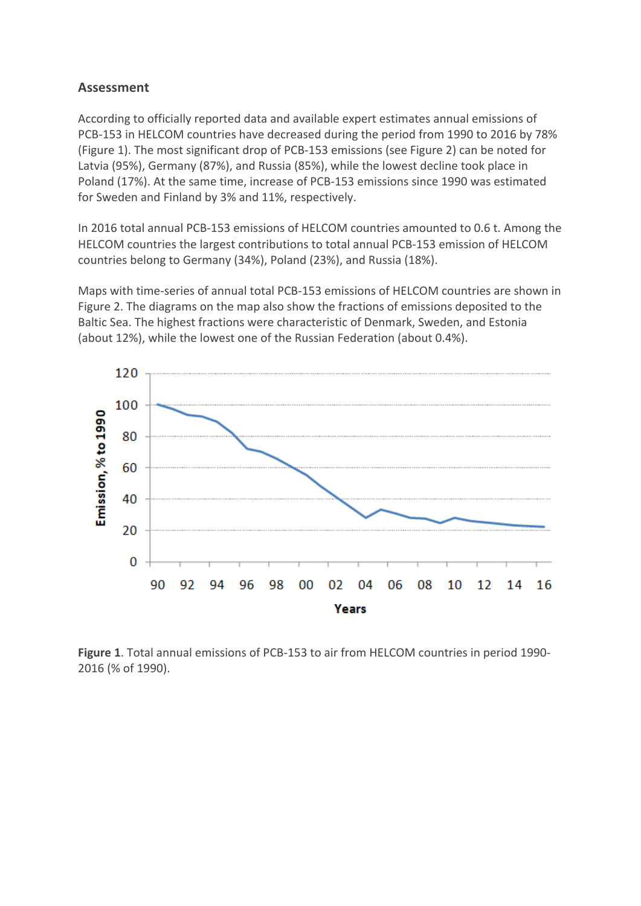### **Assessment**

According to officially reported data and available expert estimates annual emissions of PCB-153 in HELCOM countries have decreased during the period from 1990 to 2016 by 78% (Figure 1). The most significant drop of PCB-153 emissions (see Figure 2) can be noted for Latvia (95%), Germany (87%), and Russia (85%), while the lowest decline took place in Poland (17%). At the same time, increase of PCB-153 emissions since 1990 was estimated for Sweden and Finland by 3% and 11%, respectively.

In 2016 total annual PCB-153 emissions of HELCOM countries amounted to 0.6 t. Among the HELCOM countries the largest contributions to total annual PCB-153 emission of HELCOM countries belong to Germany (34%), Poland (23%), and Russia (18%).

Maps with time-series of annual total PCB-153 emissions of HELCOM countries are shown in Figure 2. The diagrams on the map also show the fractions of emissions deposited to the Baltic Sea. The highest fractions were characteristic of Denmark, Sweden, and Estonia (about 12%), while the lowest one of the Russian Federation (about 0.4%).



**Figure 1**. Total annual emissions of PCB-153 to air from HELCOM countries in period 1990- 2016 (% of 1990).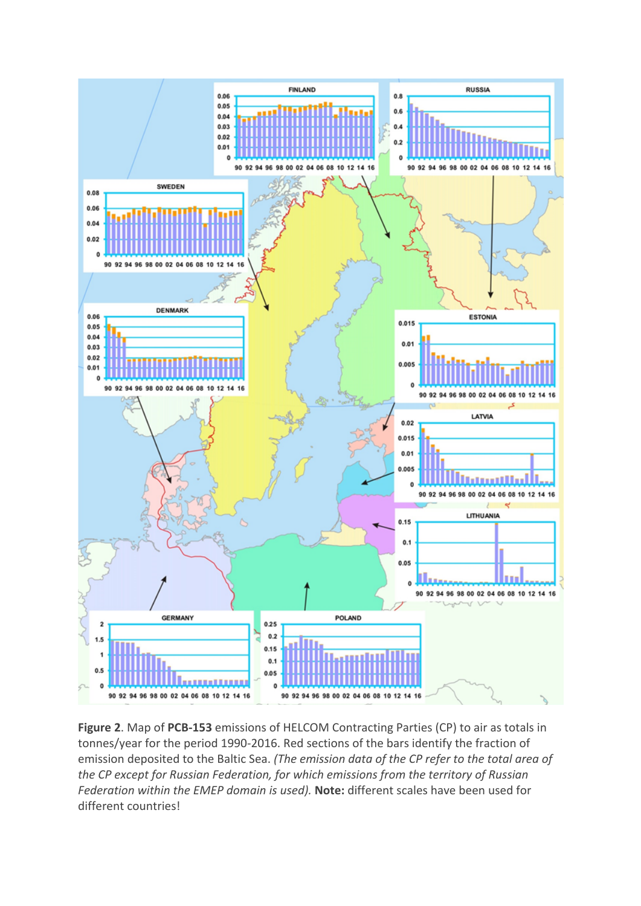

**Figure 2**. Map of **PCB-153** emissions of HELCOM Contracting Parties (CP) to air as totals in tonnes/year for the period 1990-2016. Red sections of the bars identify the fraction of emission deposited to the Baltic Sea. *(The emission data of the CP refer to the total area of the CP except for Russian Federation, for which emissions from the territory of Russian Federation within the EMEP domain is used).* **Note:** different scales have been used for different countries!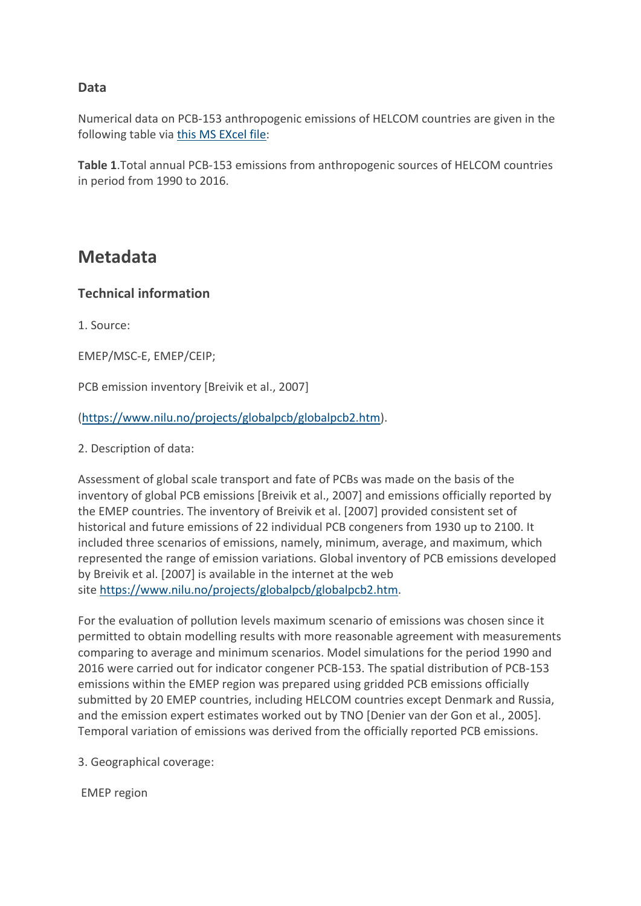# **Data**

Numerical data on PCB-153 anthropogenic emissions of HELCOM countries are given in the following table via this MS EXcel file:

**Table 1**.Total annual PCB-153 emissions from anthropogenic sources of HELCOM countries in period from 1990 to 2016.

# **Metadata**

# **Technical information**

1. Source:

EMEP/MSC-E, EMEP/CEIP;

PCB emission inventory [Breivik et al., 2007]

(https://www.nilu.no/projects/globalpcb/globalpcb2.htm).

2. Description of data:

Assessment of global scale transport and fate of PCBs was made on the basis of the inventory of global PCB emissions [Breivik et al., 2007] and emissions officially reported by the EMEP countries. The inventory of Breivik et al. [2007] provided consistent set of historical and future emissions of 22 individual PCB congeners from 1930 up to 2100. It included three scenarios of emissions, namely, minimum, average, and maximum, which represented the range of emission variations. Global inventory of PCB emissions developed by Breivik et al. [2007] is available in the internet at the web site https://www.nilu.no/projects/globalpcb/globalpcb2.htm.

For the evaluation of pollution levels maximum scenario of emissions was chosen since it permitted to obtain modelling results with more reasonable agreement with measurements comparing to average and minimum scenarios. Model simulations for the period 1990 and 2016 were carried out for indicator congener PCB-153. The spatial distribution of PCB-153 emissions within the EMEP region was prepared using gridded PCB emissions officially submitted by 20 EMEP countries, including HELCOM countries except Denmark and Russia, and the emission expert estimates worked out by TNO [Denier van der Gon et al., 2005]. Temporal variation of emissions was derived from the officially reported PCB emissions.

3. Geographical coverage:

EMEP region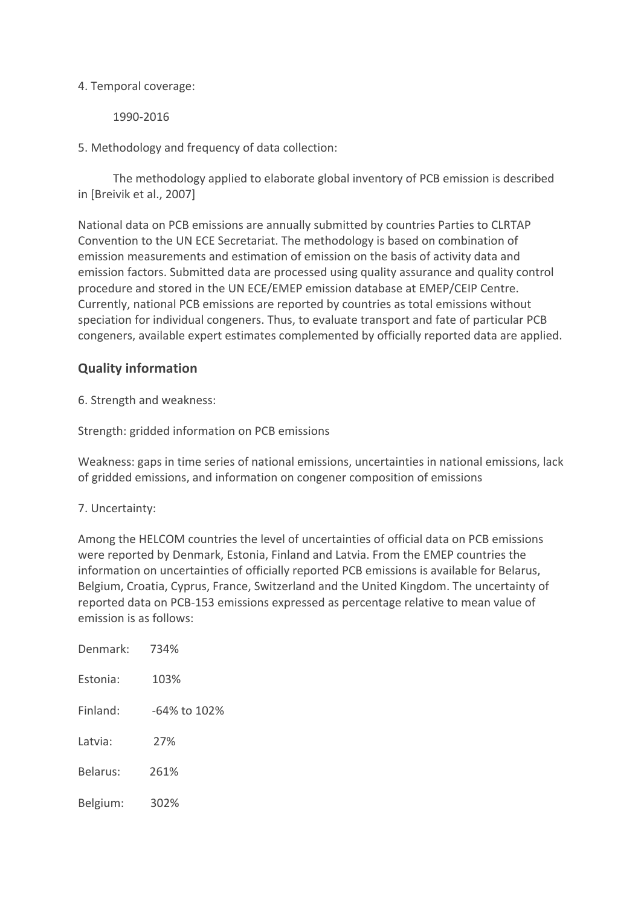#### 4. Temporal coverage:

1990-2016

5. Methodology and frequency of data collection:

 The methodology applied to elaborate global inventory of PCB emission is described in [Breivik et al., 2007]

National data on PCB emissions are annually submitted by countries Parties to CLRTAP Convention to the UN ECE Secretariat. The methodology is based on combination of emission measurements and estimation of emission on the basis of activity data and emission factors. Submitted data are processed using quality assurance and quality control procedure and stored in the UN ECE/EMEP emission database at EMEP/CEIP Centre. Currently, national PCB emissions are reported by countries as total emissions without speciation for individual congeners. Thus, to evaluate transport and fate of particular PCB congeners, available expert estimates complemented by officially reported data are applied.

# **Quality information**

6. Strength and weakness:

Strength: gridded information on PCB emissions

Weakness: gaps in time series of national emissions, uncertainties in national emissions, lack of gridded emissions, and information on congener composition of emissions

### 7. Uncertainty:

Among the HELCOM countries the level of uncertainties of official data on PCB emissions were reported by Denmark, Estonia, Finland and Latvia. From the EMEP countries the information on uncertainties of officially reported PCB emissions is available for Belarus, Belgium, Croatia, Cyprus, France, Switzerland and the United Kingdom. The uncertainty of reported data on PCB-153 emissions expressed as percentage relative to mean value of emission is as follows:

| Denmark: | 734%         |
|----------|--------------|
| Estonia: | 103%         |
| Finland: | -64% to 102% |
| Latvia:  | 27%          |
| Belarus: | 261%         |
| Belgium: | 302%         |